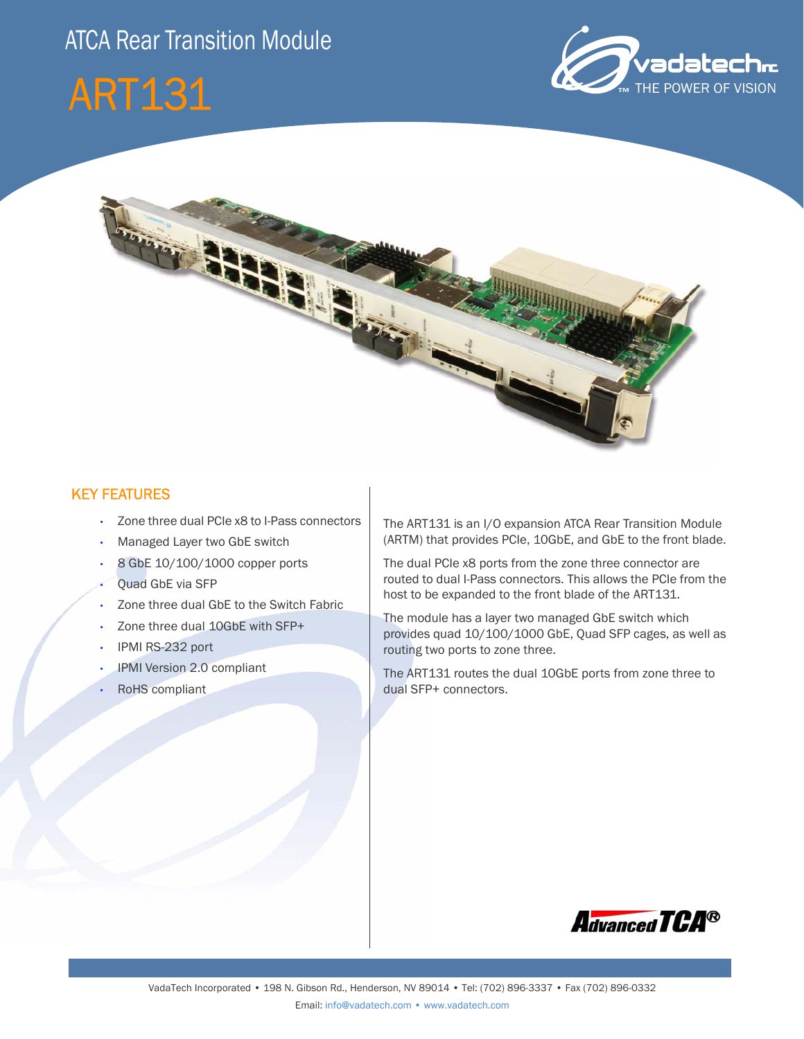## ATCA Rear Transition Module







#### KEY FEATURES

- Zone three dual PCIe x8 to I-Pass connectors
- Managed Layer two GbE switch
- 8 GbE 10/100/1000 copper ports
- Quad GbE via SFP
- Zone three dual GbE to the Switch Fabric
- Zone three dual 10GbE with SFP+
- IPMI RS-232 port
- IPMI Version 2.0 compliant
- RoHS compliant

The ART131 is an I/O expansion ATCA Rear Transition Module (ARTM) that provides PCIe, 10GbE, and GbE to the front blade.

The dual PCIe x8 ports from the zone three connector are routed to dual I-Pass connectors. This allows the PCIe from the host to be expanded to the front blade of the ART131.

The module has a layer two managed GbE switch which provides quad 10/100/1000 GbE, Quad SFP cages, as well as routing two ports to zone three.

The ART131 routes the dual 10GbE ports from zone three to dual SFP+ connectors.

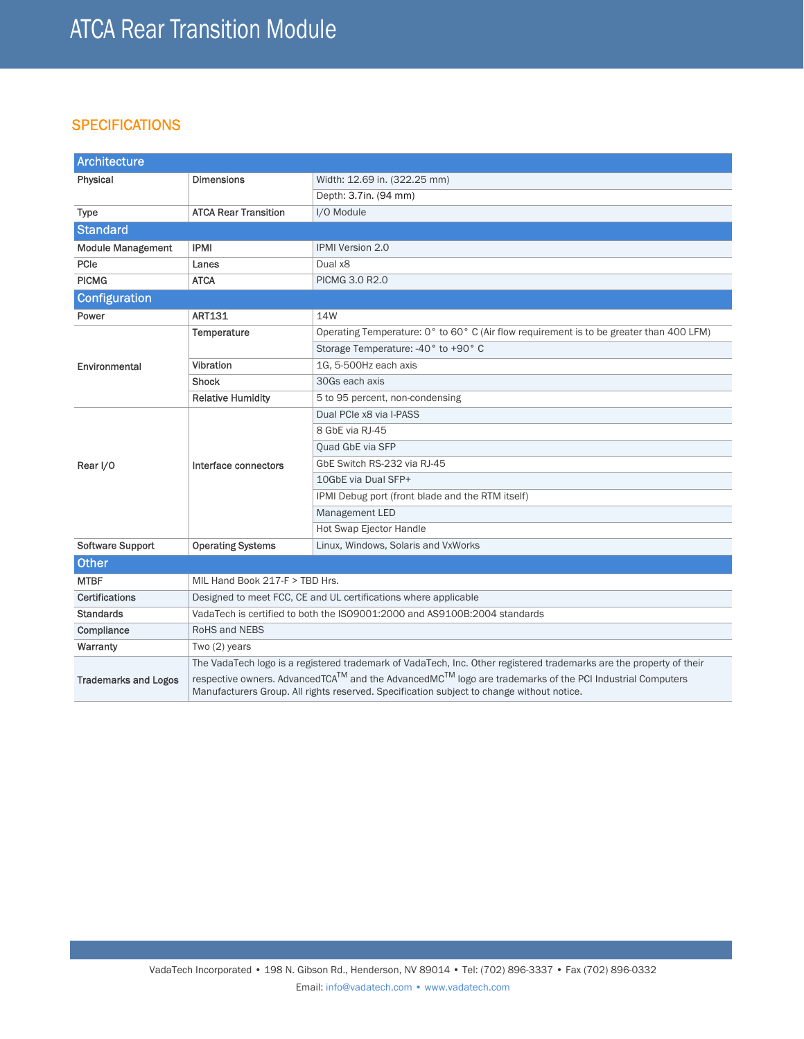#### **SPECIFICATIONS**

| Architecture                |                                                                                                                                                                                                      |                                                                                         |  |  |
|-----------------------------|------------------------------------------------------------------------------------------------------------------------------------------------------------------------------------------------------|-----------------------------------------------------------------------------------------|--|--|
| Physical                    | <b>Dimensions</b>                                                                                                                                                                                    | Width: 12.69 in. (322.25 mm)                                                            |  |  |
|                             |                                                                                                                                                                                                      | Depth: 3.7in. (94 mm)                                                                   |  |  |
| <b>Type</b>                 | <b>ATCA Rear Transition</b>                                                                                                                                                                          | I/O Module                                                                              |  |  |
| <b>Standard</b>             |                                                                                                                                                                                                      |                                                                                         |  |  |
| <b>Module Management</b>    | <b>IPMI</b>                                                                                                                                                                                          | <b>IPMI Version 2.0</b>                                                                 |  |  |
| PCIe                        | Lanes                                                                                                                                                                                                | Dual x8                                                                                 |  |  |
| <b>PICMG</b>                | <b>ATCA</b>                                                                                                                                                                                          | PICMG 3.0 R2.0                                                                          |  |  |
| <b>Configuration</b>        |                                                                                                                                                                                                      |                                                                                         |  |  |
| Power                       | <b>ART131</b>                                                                                                                                                                                        | 14W                                                                                     |  |  |
| Environmental               | Temperature                                                                                                                                                                                          | Operating Temperature: 0° to 60° C (Air flow requirement is to be greater than 400 LFM) |  |  |
|                             |                                                                                                                                                                                                      | Storage Temperature: -40° to +90° C                                                     |  |  |
|                             | Vibration                                                                                                                                                                                            | 1G. 5-500Hz each axis                                                                   |  |  |
|                             | <b>Shock</b>                                                                                                                                                                                         | 30Gs each axis                                                                          |  |  |
|                             | <b>Relative Humidity</b>                                                                                                                                                                             | 5 to 95 percent, non-condensing                                                         |  |  |
|                             | Interface connectors                                                                                                                                                                                 | Dual PCIe x8 via I-PASS                                                                 |  |  |
| Rear I/O                    |                                                                                                                                                                                                      | 8 GbE via RJ-45                                                                         |  |  |
|                             |                                                                                                                                                                                                      | Quad GbE via SFP                                                                        |  |  |
|                             |                                                                                                                                                                                                      | GbE Switch RS-232 via RJ-45                                                             |  |  |
|                             |                                                                                                                                                                                                      | 10GbE via Dual SFP+                                                                     |  |  |
|                             |                                                                                                                                                                                                      | IPMI Debug port (front blade and the RTM itself)                                        |  |  |
|                             |                                                                                                                                                                                                      | Management LED                                                                          |  |  |
|                             |                                                                                                                                                                                                      | Hot Swap Ejector Handle                                                                 |  |  |
| <b>Software Support</b>     | <b>Operating Systems</b>                                                                                                                                                                             | Linux, Windows, Solaris and VxWorks                                                     |  |  |
| <b>Other</b>                |                                                                                                                                                                                                      |                                                                                         |  |  |
| <b>MTBF</b>                 | MIL Hand Book 217-F > TBD Hrs.                                                                                                                                                                       |                                                                                         |  |  |
| Certifications              | Designed to meet FCC, CE and UL certifications where applicable                                                                                                                                      |                                                                                         |  |  |
| <b>Standards</b>            | VadaTech is certified to both the ISO9001:2000 and AS9100B:2004 standards                                                                                                                            |                                                                                         |  |  |
| Compliance                  | RoHS and NEBS                                                                                                                                                                                        |                                                                                         |  |  |
| Warranty                    | Two $(2)$ years                                                                                                                                                                                      |                                                                                         |  |  |
|                             | The VadaTech logo is a registered trademark of VadaTech, Inc. Other registered trademarks are the property of their                                                                                  |                                                                                         |  |  |
| <b>Trademarks and Logos</b> | respective owners. AdvancedTCA™ and the AdvancedMC™ logo are trademarks of the PCI Industrial Computers<br>Manufacturers Group. All rights reserved. Specification subject to change without notice. |                                                                                         |  |  |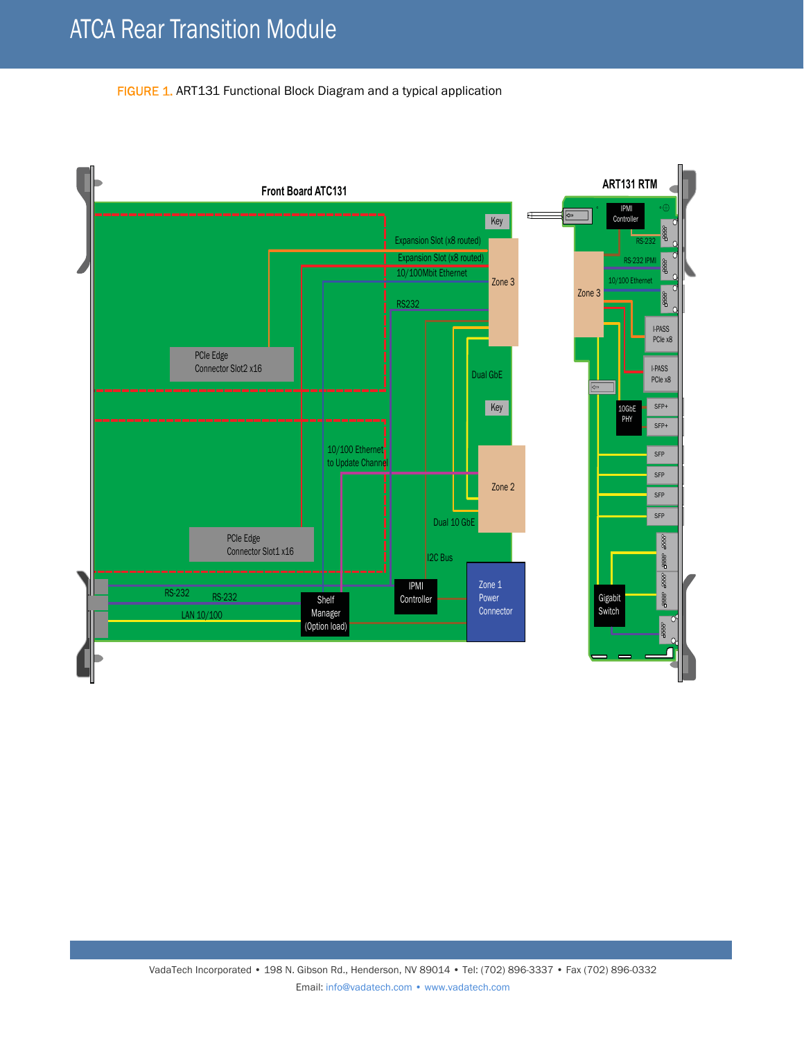FIGURE 1. ART131 Functional Block Diagram and a typical application